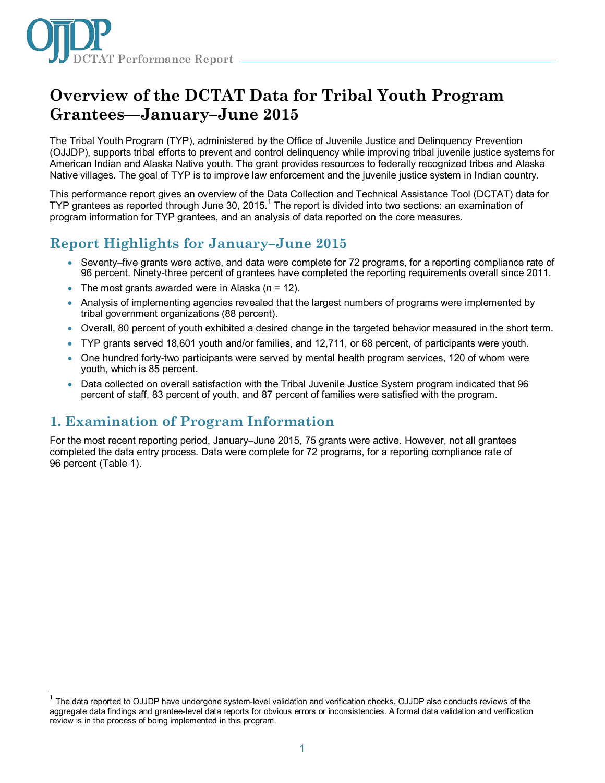

# **Overview of the DCTAT Data for Tribal Youth Program Grantees—January–June 2015**

The Tribal Youth Program (TYP), administered by the Office of Juvenile Justice and Delinquency Prevention (OJJDP), supports tribal efforts to prevent and control delinquency while improving tribal juvenile justice systems for American Indian and Alaska Native youth. The grant provides resources to federally recognized tribes and Alaska Native villages. The goal of TYP is to improve law enforcement and the juvenile justice system in Indian country.

This performance report gives an overview of the Data Collection and Technical Assistance Tool (DCTAT) data for TYP grantees as reported through June 30, 20[1](#page-0-0)5.<sup>1</sup> The report is divided into two sections: an examination of program information for TYP grantees, and an analysis of data reported on the core measures.

# **Report Highlights for January–June 2015**

- Seventy–five grants were active, and data were complete for 72 programs, for a reporting compliance rate of 96 percent. Ninety-three percent of grantees have completed the reporting requirements overall since 2011.
- The most grants awarded were in Alaska (*n* = 12).
- Analysis of implementing agencies revealed that the largest numbers of programs were implemented by tribal government organizations (88 percent).
- Overall, 80 percent of youth exhibited a desired change in the targeted behavior measured in the short term.
- TYP grants served 18,601 youth and/or families, and 12,711, or 68 percent, of participants were youth.
- One hundred forty-two participants were served by mental health program services, 120 of whom were youth, which is 85 percent.
- Data collected on overall satisfaction with the Tribal Juvenile Justice System program indicated that 96 percent of staff, 83 percent of youth, and 87 percent of families were satisfied with the program.

# **1. Examination of Program Information**

 $\overline{a}$ 

For the most recent reporting period, January–June 2015, 75 grants were active. However, not all grantees completed the data entry process. Data were complete for 72 programs, for a reporting compliance rate of 96 percent (Table 1).

<span id="page-0-0"></span><sup>1</sup> The data reported to OJJDP have undergone system-level validation and verification checks. OJJDP also conducts reviews of the aggregate data findings and grantee-level data reports for obvious errors or inconsistencies. A formal data validation and verification review is in the process of being implemented in this program.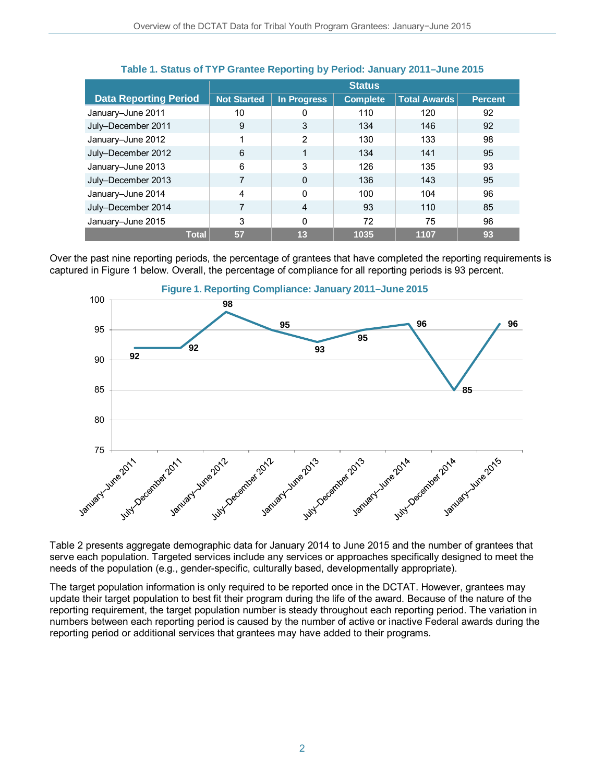|                              | <b>Status</b>      |                |                 |                     |                |
|------------------------------|--------------------|----------------|-----------------|---------------------|----------------|
| <b>Data Reporting Period</b> | <b>Not Started</b> | In Progress    | <b>Complete</b> | <b>Total Awards</b> | <b>Percent</b> |
| January-June 2011            | 10                 |                | 110             | 120                 | 92             |
| July-December 2011           | 9                  | 3              | 134             | 146                 | 92             |
| January-June 2012            | 1                  | 2              | 130             | 133                 | 98             |
| July-December 2012           | 6                  |                | 134             | 141                 | 95             |
| January-June 2013            | 6                  | 3              | 126             | 135                 | 93             |
| July-December 2013           |                    | $\Omega$       | 136             | 143                 | 95             |
| January-June 2014            | 4                  | 0              | 100             | 104                 | 96             |
| July-December 2014           |                    | $\overline{4}$ | 93              | 110                 | 85             |
| January-June 2015            | 3                  | $\Omega$       | 72              | 75                  | 96             |
| <b>Total</b>                 | 57                 | 13             | 1035            | 1107                | 93             |

### **Table 1. Status of TYP Grantee Reporting by Period: January 2011–June 2015**

Over the past nine reporting periods, the percentage of grantees that have completed the reporting requirements is captured in Figure 1 below. Overall, the percentage of compliance for all reporting periods is 93 percent.



Table 2 presents aggregate demographic data for January 2014 to June 2015 and the number of grantees that serve each population. Targeted services include any services or approaches specifically designed to meet the needs of the population (e.g., gender-specific, culturally based, developmentally appropriate).

The target population information is only required to be reported once in the DCTAT. However, grantees may update their target population to best fit their program during the life of the award. Because of the nature of the reporting requirement, the target population number is steady throughout each reporting period. The variation in numbers between each reporting period is caused by the number of active or inactive Federal awards during the reporting period or additional services that grantees may have added to their programs.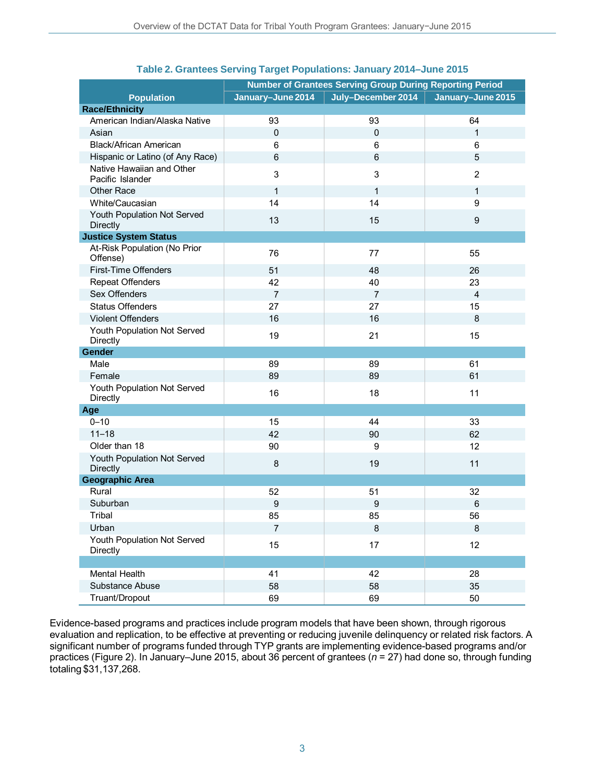|                                                | <b>Number of Grantees Serving Group During Reporting Period</b> |                    |                   |  |
|------------------------------------------------|-----------------------------------------------------------------|--------------------|-------------------|--|
| <b>Population</b>                              | January-June 2014                                               | July-December 2014 | January-June 2015 |  |
| <b>Race/Ethnicity</b>                          |                                                                 |                    |                   |  |
| American Indian/Alaska Native                  | 93                                                              | 93                 | 64                |  |
| Asian                                          | 0                                                               | $\mathbf 0$        | $\mathbf{1}$      |  |
| <b>Black/African American</b>                  | 6                                                               | 6                  | 6                 |  |
| Hispanic or Latino (of Any Race)               | 6                                                               | $6\phantom{1}$     | 5                 |  |
| Native Hawaiian and Other<br>Pacific Islander  | 3                                                               | 3                  | $\overline{2}$    |  |
| <b>Other Race</b>                              | $\mathbf{1}$                                                    | $\mathbf{1}$       | 1                 |  |
| White/Caucasian                                | 14                                                              | 14                 | 9                 |  |
| Youth Population Not Served<br><b>Directly</b> | 13                                                              | 15                 | $\boldsymbol{9}$  |  |
| <b>Justice System Status</b>                   |                                                                 |                    |                   |  |
| At-Risk Population (No Prior<br>Offense)       | 76                                                              | 77                 | 55                |  |
| First-Time Offenders                           | 51                                                              | 48                 | 26                |  |
| <b>Repeat Offenders</b>                        | 42                                                              | 40                 | 23                |  |
| Sex Offenders                                  | $\overline{7}$                                                  | $\overline{7}$     | $\overline{4}$    |  |
| <b>Status Offenders</b>                        | 27                                                              | 27                 | 15                |  |
| <b>Violent Offenders</b>                       | 16                                                              | 16                 | 8                 |  |
| Youth Population Not Served<br>Directly        | 19                                                              | 21                 | 15                |  |
| Gender                                         |                                                                 |                    |                   |  |
| Male                                           | 89                                                              | 89                 | 61                |  |
| Female                                         | 89                                                              | 89                 | 61                |  |
| Youth Population Not Served<br>Directly        | 16                                                              | 18                 | 11                |  |
| Age                                            |                                                                 |                    |                   |  |
| $0 - 10$                                       | 15                                                              | 44                 | 33                |  |
| $11 - 18$                                      | 42                                                              | 90                 | 62                |  |
| Older than 18                                  | 90                                                              | 9                  | 12                |  |
| Youth Population Not Served<br><b>Directly</b> | 8                                                               | 19                 | 11                |  |
| <b>Geographic Area</b>                         |                                                                 |                    |                   |  |
| Rural                                          | 52                                                              | 51                 | 32                |  |
| Suburban                                       | 9                                                               | $\boldsymbol{9}$   | $\,6$             |  |
| Tribal                                         | 85                                                              | 85                 | 56                |  |
| Urban                                          | $\overline{7}$                                                  | 8                  | 8                 |  |
| Youth Population Not Served<br>Directly        | 15                                                              | 17                 | 12                |  |
|                                                |                                                                 |                    |                   |  |
| Mental Health                                  | 41                                                              | 42                 | 28                |  |
| Substance Abuse                                | 58                                                              | 58                 | 35                |  |
| Truant/Dropout                                 | 69                                                              | 69                 | 50                |  |

## **Table 2. Grantees Serving Target Populations: January 2014–June 2015**

Evidence-based programs and practices include program models that have been shown, through rigorous evaluation and replication, to be effective at preventing or reducing juvenile delinquency or related risk factors. A significant number of programs funded through TYP grants are implementing evidence-based programs and/or practices (Figure 2). In January–June 2015, about 36 percent of grantees (*n* = 27) had done so, through funding totaling \$31,137,268.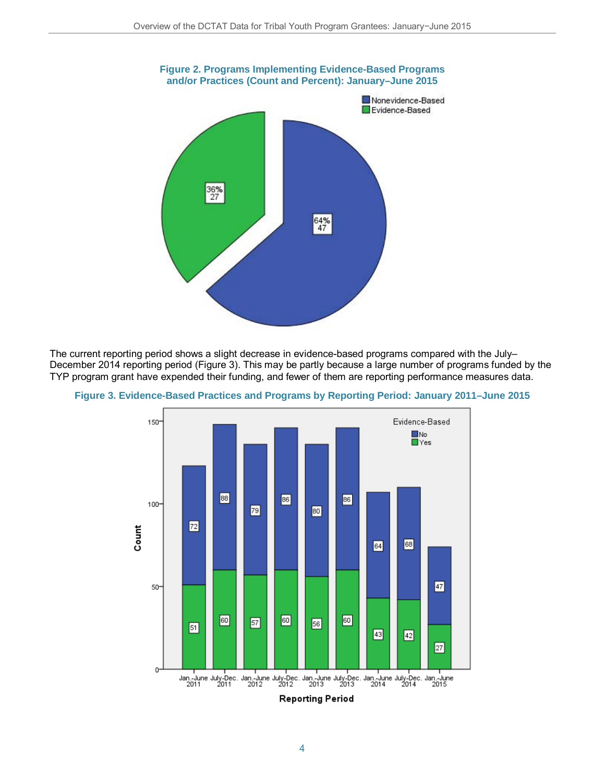

The current reporting period shows a slight decrease in evidence-based programs compared with the July– December 2014 reporting period (Figure 3). This may be partly because a large number of programs funded by the TYP program grant have expended their funding, and fewer of them are reporting performance measures data.



**Figure 3. Evidence-Based Practices and Programs by Reporting Period: January 2011–June 2015**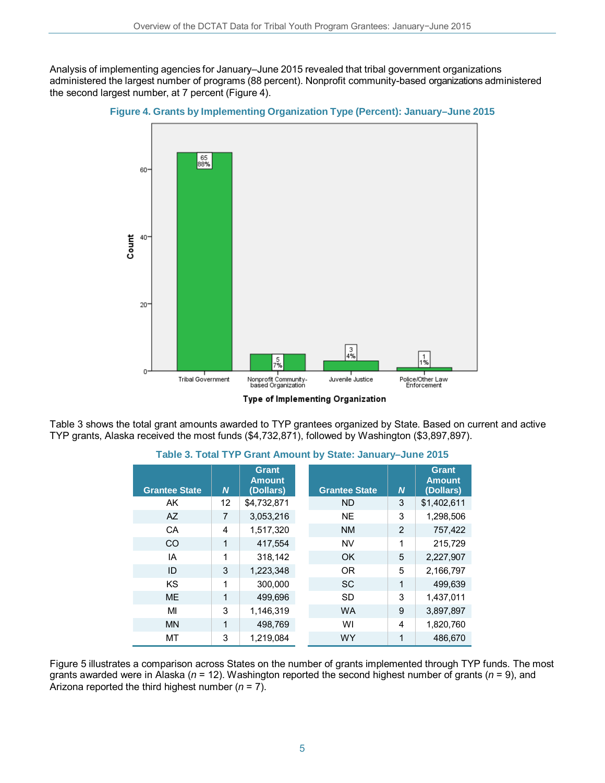Analysis of implementing agencies for January–June 2015 revealed that tribal government organizations administered the largest number of programs (88 percent). Nonprofit community-based organizations administered the second largest number, at 7 percent (Figure 4).





Type of Implementing Organization

Table 3 shows the total grant amounts awarded to TYP grantees organized by State. Based on current and active TYP grants, Alaska received the most funds (\$4,732,871), followed by Washington (\$3,897,897).

| <b>Grantee State</b> | N            | Grant<br><b>Amount</b><br>(Dollars) | <b>Grantee State</b> | $\boldsymbol{N}$ | Grant<br><b>Amount</b><br>(Dollars) |
|----------------------|--------------|-------------------------------------|----------------------|------------------|-------------------------------------|
| AK.                  | 12           | \$4,732,871                         | ND.                  | 3                | \$1,402,611                         |
| AZ                   | 7            | 3,053,216                           | <b>NE</b>            | 3                | 1,298,506                           |
| CA                   | 4            | 1.517.320                           | <b>NM</b>            | $\overline{2}$   | 757.422                             |
| CO                   | $\mathbf{1}$ | 417,554                             | <b>NV</b>            | 1                | 215,729                             |
| IA                   | 1            | 318.142                             | OK.                  | 5                | 2,227,907                           |
| ID                   | 3            | 1,223,348                           | <b>OR</b>            | 5                | 2,166,797                           |
| <b>KS</b>            | 1            | 300.000                             | <sub>SC</sub>        | 1                | 499,639                             |
| <b>ME</b>            | 1            | 499.696                             | <b>SD</b>            | 3                | 1,437,011                           |
| MI                   | 3            | 1,146,319                           | <b>WA</b>            | 9                | 3,897,897                           |
| <b>MN</b>            | $\mathbf{1}$ | 498,769                             | WI                   | 4                | 1,820,760                           |
| MT                   | 3            | 1,219,084                           | <b>WY</b>            | 1                | 486,670                             |

### **Table 3. Total TYP Grant Amount by State: January–June 2015**

Figure 5 illustrates a comparison across States on the number of grants implemented through TYP funds. The most grants awarded were in Alaska (*n* = 12). Washington reported the second highest number of grants (*n* = 9), and Arizona reported the third highest number (*n* = 7).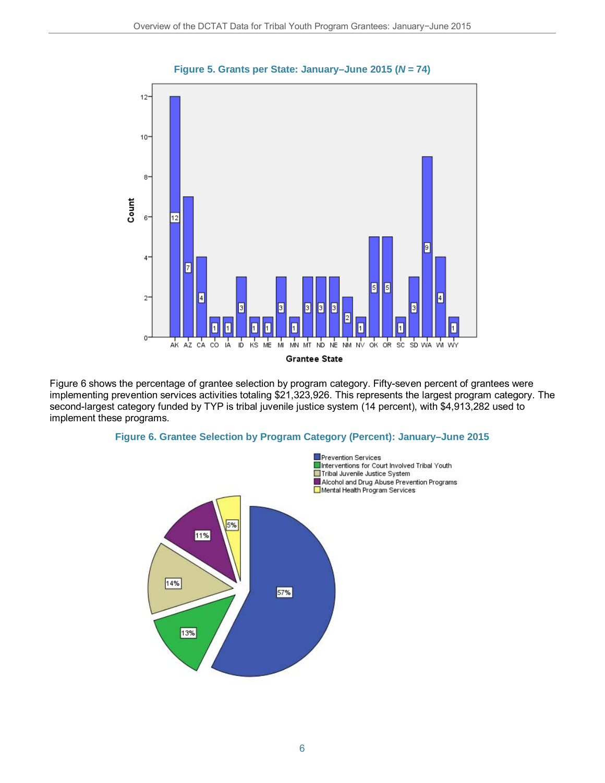

Figure 6 shows the percentage of grantee selection by program category. Fifty-seven percent of grantees were implementing prevention services activities totaling \$21,323,926. This represents the largest program category. The second-largest category funded by TYP is tribal juvenile justice system (14 percent), with \$4,913,282 used to implement these programs.





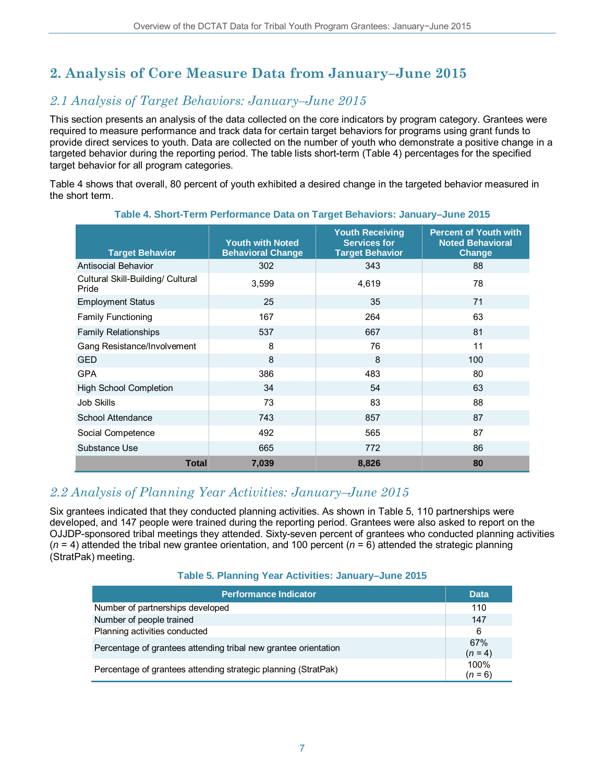# **2. Analysis of Core Measure Data from January–June 2015**

# *2.1 Analysis of Target Behaviors: January–June 2015*

This section presents an analysis of the data collected on the core indicators by program category. Grantees were required to measure performance and track data for certain target behaviors for programs using grant funds to provide direct services to youth. Data are collected on the number of youth who demonstrate a positive change in a targeted behavior during the reporting period. The table lists short-term (Table 4) percentages for the specified target behavior for all program categories.

Table 4 shows that overall, 80 percent of youth exhibited a desired change in the targeted behavior measured in the short term.

| <b>Target Behavior</b>                     | <b>Youth with Noted</b><br><b>Behavioral Change</b> | <b>Youth Receiving</b><br><b>Services for</b><br><b>Target Behavior</b> | <b>Percent of Youth with</b><br><b>Noted Behavioral</b><br>Change |
|--------------------------------------------|-----------------------------------------------------|-------------------------------------------------------------------------|-------------------------------------------------------------------|
| Antisocial Behavior                        | 302                                                 | 343                                                                     | 88                                                                |
| Cultural Skill-Building/ Cultural<br>Pride | 3,599                                               | 4,619                                                                   | 78                                                                |
| <b>Employment Status</b>                   | 25                                                  | 35                                                                      | 71                                                                |
| <b>Family Functioning</b>                  | 167                                                 | 264                                                                     | 63                                                                |
| <b>Family Relationships</b>                | 537                                                 | 667                                                                     | 81                                                                |
| Gang Resistance/Involvement                | 8                                                   | 76                                                                      | 11                                                                |
| <b>GED</b>                                 | 8                                                   | 8                                                                       | 100                                                               |
| <b>GPA</b>                                 | 386                                                 | 483                                                                     | 80                                                                |
| <b>High School Completion</b>              | 34                                                  | 54                                                                      | 63                                                                |
| <b>Job Skills</b>                          | 73                                                  | 83                                                                      | 88                                                                |
| School Attendance                          | 743                                                 | 857                                                                     | 87                                                                |
| Social Competence                          | 492                                                 | 565                                                                     | 87                                                                |
| Substance Use                              | 665                                                 | 772                                                                     | 86                                                                |
| <b>Total</b>                               | 7,039                                               | 8,826                                                                   | 80                                                                |

### **Table 4. Short-Term Performance Data on Target Behaviors: January–June 2015**

## *2.2 Analysis of Planning Year Activities: January–June 2015*

Six grantees indicated that they conducted planning activities. As shown in Table 5, 110 partnerships were developed, and 147 people were trained during the reporting period. Grantees were also asked to report on the OJJDP-sponsored tribal meetings they attended. Sixty-seven percent of grantees who conducted planning activities  $(n = 4)$  attended the tribal new grantee orientation, and 100 percent  $(n = 6)$  attended the strategic planning (StratPak) meeting.

#### **Table 5. Planning Year Activities: January–June 2015**

| <b>Performance Indicator</b>                                    | <b>Data</b>       |
|-----------------------------------------------------------------|-------------------|
| Number of partnerships developed                                | 110               |
| Number of people trained                                        | 147               |
| Planning activities conducted                                   | 6                 |
| Percentage of grantees attending tribal new grantee orientation | 67%<br>$(n = 4)$  |
| Percentage of grantees attending strategic planning (StratPak)  | 100%<br>$(n = 6)$ |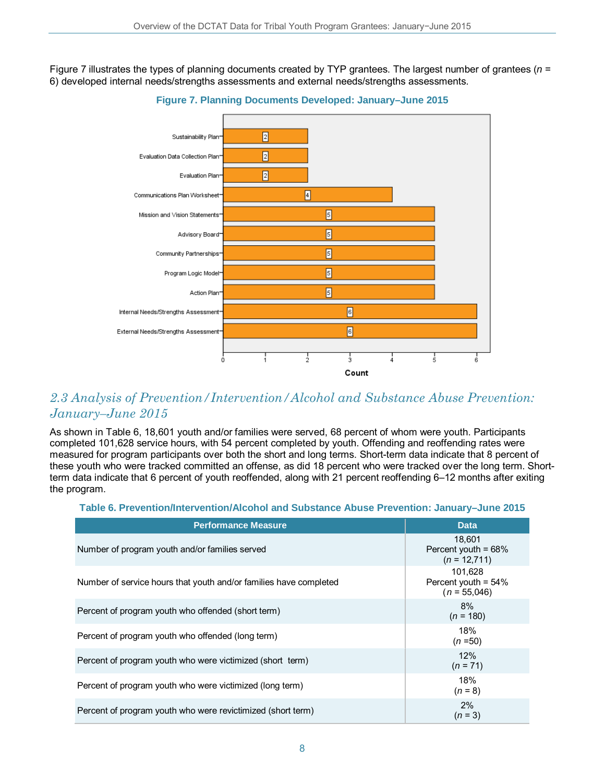Figure 7 illustrates the types of planning documents created by TYP grantees. The largest number of grantees (*n* = 6) developed internal needs/strengths assessments and external needs/strengths assessments.



**Figure 7. Planning Documents Developed: January–June 2015**

## *2.3 Analysis of Prevention/Intervention/Alcohol and Substance Abuse Prevention: January–June 2015*

As shown in Table 6, 18,601 youth and/or families were served, 68 percent of whom were youth. Participants completed 101,628 service hours, with 54 percent completed by youth. Offending and reoffending rates were measured for program participants over both the short and long terms. Short-term data indicate that 8 percent of these youth who were tracked committed an offense, as did 18 percent who were tracked over the long term. Shortterm data indicate that 6 percent of youth reoffended, along with 21 percent reoffending 6–12 months after exiting the program.

### **Table 6. Prevention/Intervention/Alcohol and Substance Abuse Prevention: January–June 2015**

| <b>Performance Measure</b>                                        | <b>Data</b>                                         |
|-------------------------------------------------------------------|-----------------------------------------------------|
| Number of program youth and/or families served                    | 18,601<br>Percent youth = 68%<br>$(n = 12,711)$     |
| Number of service hours that youth and/or families have completed | 101.628<br>Percent youth = $54\%$<br>$(n = 55,046)$ |
| Percent of program youth who offended (short term)                | 8%<br>$(n = 180)$                                   |
| Percent of program youth who offended (long term)                 | 18%<br>$(n=50)$                                     |
| Percent of program youth who were victimized (short term)         | 12%<br>$(n = 71)$                                   |
| Percent of program youth who were victimized (long term)          | 18%<br>$(n = 8)$                                    |
| Percent of program youth who were revictimized (short term)       | 2%<br>$(n = 3)$                                     |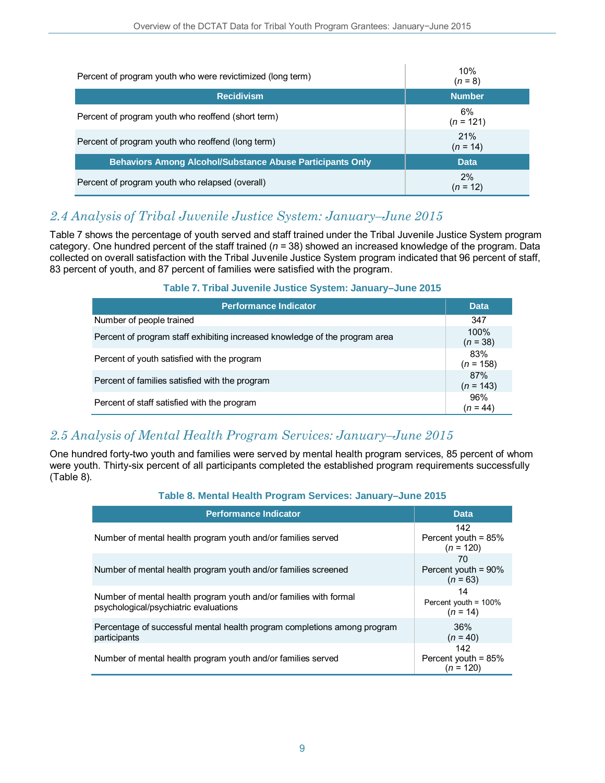| Percent of program youth who were revictimized (long term)       | 10%<br>$(n = 8)$  |
|------------------------------------------------------------------|-------------------|
| <b>Recidivism</b>                                                | <b>Number</b>     |
| Percent of program youth who reoffend (short term)               | 6%<br>$(n = 121)$ |
| Percent of program youth who reoffend (long term)                | 21%<br>$(n = 14)$ |
| <b>Behaviors Among Alcohol/Substance Abuse Participants Only</b> | <b>Data</b>       |
| Percent of program youth who relapsed (overall)                  | 2%<br>$(n = 12)$  |

## *2.4 Analysis of Tribal Juvenile Justice System: January–June 2015*

Table 7 shows the percentage of youth served and staff trained under the Tribal Juvenile Justice System program category. One hundred percent of the staff trained (*n* = 38) showed an increased knowledge of the program. Data collected on overall satisfaction with the Tribal Juvenile Justice System program indicated that 96 percent of staff, 83 percent of youth, and 87 percent of families were satisfied with the program.

## **Table 7. Tribal Juvenile Justice System: January–June 2015**

| <b>Performance Indicator</b>                                                | <b>Data</b>        |
|-----------------------------------------------------------------------------|--------------------|
| Number of people trained                                                    | 347                |
| Percent of program staff exhibiting increased knowledge of the program area | 100%<br>$(n = 38)$ |
| Percent of youth satisfied with the program                                 | 83%<br>$(n = 158)$ |
| Percent of families satisfied with the program                              | 87%<br>$(n = 143)$ |
| Percent of staff satisfied with the program                                 | 96%<br>$(n = 44)$  |

# *2.5 Analysis of Mental Health Program Services: January–June 2015*

One hundred forty-two youth and families were served by mental health program services, 85 percent of whom were youth. Thirty-six percent of all participants completed the established program requirements successfully (Table 8).

## **Table 8. Mental Health Program Services: January–June 2015**

| <b>Performance Indicator</b>                                                                               | <b>Data</b>                                       |
|------------------------------------------------------------------------------------------------------------|---------------------------------------------------|
| Number of mental health program youth and/or families served                                               | 142<br>Percent youth = $85%$<br>$(n = 120)$       |
| Number of mental health program youth and/or families screened                                             | 70<br>Percent youth = $90\%$<br>$(n = 63)$        |
| Number of mental health program youth and/or families with formal<br>psychological/psychiatric evaluations | 14<br>Percent youth = $100\%$<br>$(n = 14)$       |
| Percentage of successful mental health program completions among program<br>participants                   | 36%<br>$(n = 40)$                                 |
| Number of mental health program youth and/or families served                                               | 142<br>Percent youth = $85%$<br>( <i>n</i> = 120) |